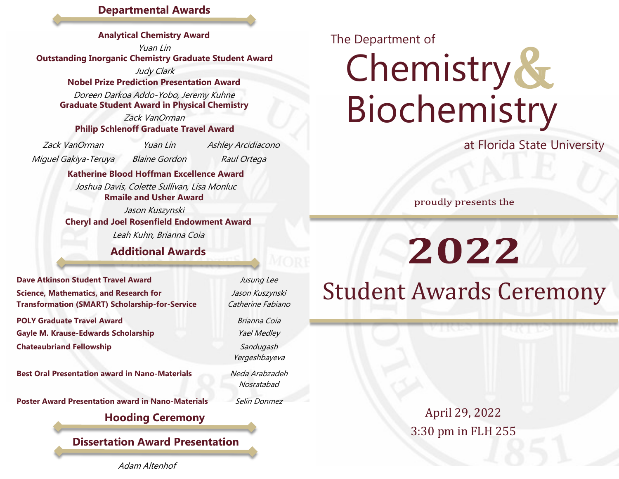#### **Departmental Awards**

**Analytical Chemistry Award**

Yuan Lin **Outstanding Inorganic Chemistry Graduate Student Award**

> Judy Clark Doreen Darkoa Addo-Yobo, Jeremy Kuhne **Nobel Prize Prediction Presentation Award**

**Graduate Student Award in Physical Chemistry**

Zack VanOrman **Philip Schlenoff Graduate Travel Award**

Miguel Gakiya-Teruya Blaine Gordon Raul Ortega

Zack VanOrman Yuan Lin Ashley Arcidiacono

**Katherine Blood Hoffman Excellence Award**

Joshua Davis, Colette Sullivan, Lisa Monluc **Rmaile and Usher Award**

Jason Kuszynski Leah Kuhn, Brianna Coia **Cheryl and Joel Rosenfield Endowment Award**

**Additional Awards**

**Dave Atkinson Student Travel Award** Jusung Lee **Science, Mathematics, and Research for Transformation (SMART) Scholarship-for-Service** 

**POLY Graduate Travel Award** Brianna Coia Gayle M. Krause-Edwards Scholarship **Gayle M. Krause-Edwards Scholarship** *Yael Medley* **Chateaubriand Fellowship** Sandugash

**Best Oral Presentation award in Nano-Materials Meda Arabzadeh** 

**Poster Award Presentation award in Nano-Materials** Selin Donmez

#### **Hooding Ceremony**

**Dissertation Award Presentation**

Adam Altenhof

Jason Kuszynski Catherine Fabiano

Yergeshbayeva

Nosratabad

## The Department of

# Chemistry & Biochemistry

at Florida State University

proudly presents the

2022

Student Awards Ceremony

April 29, 2022 3:30 pm in FLH 255